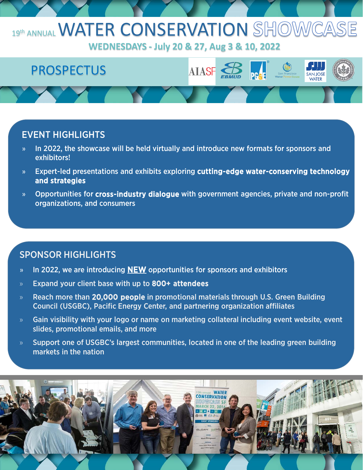## 19th ANNUAL WATER CONSERVATION SHOW

**WEDNESDAYS - July 20 & 27, Aug 3 & 10, 2022**

# **PROSPECTUS AIASF**

#### EVENT HIGHLIGHTS

- » In 2022, the showcase will be held virtually and introduce new formats for sponsors and exhibitors!
- » Expert-led presentations and exhibits exploring cutting-edge water-conserving technology and strategies
- » Opportunities for cross-industry dialogue with government agencies, private and non-profit organizations, and consumers

### SPONSOR HIGHLIGHTS

- » In 2022, we are introducing **NEW** opportunities for sponsors and exhibitors
- » Expand your client base with up to 800+ attendees
- » Reach more than 20,000 people in promotional materials through U.S. Green Building Council (USGBC), Pacific Energy Center, and partnering organization affiliates
- » Gain visibility with your logo or name on marketing collateral including event website, event slides, promotional emails, and more
- » Support one of USGBC's largest communities, located in one of the leading green building markets in the nation

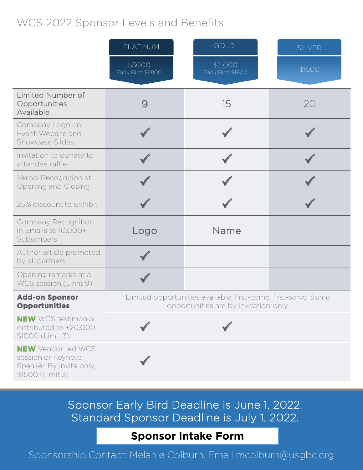## WCS 2022 Sponsor Levels and Benefits

|                                                                                                 | PLATINUM                                                                                                | GOLD                          | <b>SILVER</b> |
|-------------------------------------------------------------------------------------------------|---------------------------------------------------------------------------------------------------------|-------------------------------|---------------|
|                                                                                                 | \$3000<br>Early Bird: \$2800                                                                            | \$2,000<br>Early Bird: \$1800 | \$1500        |
| Limited Number of<br>Opportunities<br>Available                                                 | 9                                                                                                       | 15                            | 20            |
| Company Logo on<br>Event Website and<br><b>Showcase Slides</b>                                  |                                                                                                         |                               |               |
| Invitation to donate to<br>attendee raffle                                                      |                                                                                                         |                               |               |
| Verbal Recognition at<br>Opening and Closing                                                    |                                                                                                         |                               |               |
| 25% discount to Exhibit                                                                         |                                                                                                         |                               |               |
| <b>Company Recognition</b><br>in Emails to 10,000+<br>Subscribers                               | Logo                                                                                                    | Name                          |               |
| Author article promoted<br>by all partners                                                      |                                                                                                         |                               |               |
| Opening remarks at a<br>WCS session (Limit 9)                                                   |                                                                                                         |                               |               |
| <b>Add-on Sponsor</b><br><b>Opportunities</b>                                                   | Limited opportunities available; first-come, first-serve. Some<br>opportunities are by invitation-only. |                               |               |
| <b>NEW</b> WCS testimonial<br>distributed to +20,000,<br>\$1000 (Limit 3)                       |                                                                                                         |                               |               |
| <b>NEW</b> Vendor-led WCS<br>session or Keynote<br>Speaker. By invite only,<br>\$1500 (Limit 3) |                                                                                                         |                               |               |

Sponsor Early Bird Deadline is June 1, 2022. Standard Sponsor Deadline is July 1, 2022.

#### **[Sponsor Intake Form](https://forms.gle/ycdSPzjyBSVhiZzW7)**

Sponsorship Contact: Melanie Colburn. Email mcolburn@usgbc.org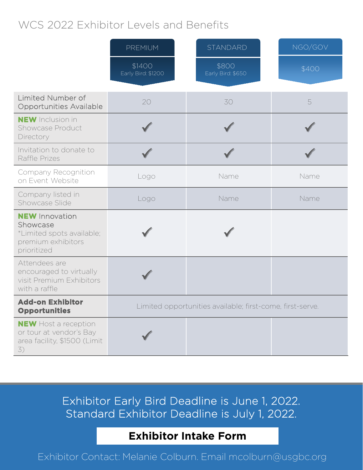## WCS 2022 Exhibitor Levels and Benefits

|                                                                                                     | <b>PREMIUM</b>                                            | <b>STANDARD</b>            | NGO/GOV |
|-----------------------------------------------------------------------------------------------------|-----------------------------------------------------------|----------------------------|---------|
|                                                                                                     | \$1400<br>Early Bird: \$1200                              | \$800<br>Early Bird: \$650 | \$400   |
| <b>Limited Number of</b><br>Opportunities Available                                                 | 20                                                        | 30                         | 5       |
| <b>NEW</b> Inclusion in<br>Showcase Product<br>Directory                                            |                                                           |                            |         |
| Invitation to donate to<br>Raffle Prizes                                                            |                                                           |                            |         |
| Company Recognition<br>on Event Website                                                             | Logo                                                      | Name                       | Name    |
| Company listed in<br>Showcase Slide                                                                 | Logo                                                      | Name                       | Name    |
| <b>NEW Innovation</b><br>Showcase<br>*Limited spots available;<br>premium exhibitors<br>prioritized |                                                           |                            |         |
| Attendees are<br>encouraged to virtually<br>visit Premium Exhibitors<br>with a raffle               |                                                           |                            |         |
| <b>Add-on Exhibitor</b><br><b>Opportunities</b>                                                     | Limited opportunities available; first-come, first-serve. |                            |         |
| <b>NEW</b> Host a reception<br>or tour at vendor's Bay<br>area facility, \$1500 (Limit<br>3)        |                                                           |                            |         |

Exhibitor Early Bird Deadline is June 1, 2022. Standard Exhibitor Deadline is July 1, 2022.

## **[Exhibitor Intake Form](https://forms.gle/ycdSPzjyBSVhiZzW7)**

Exhibitor Contact: Melanie Colburn. Email mcolburn@usgbc.org